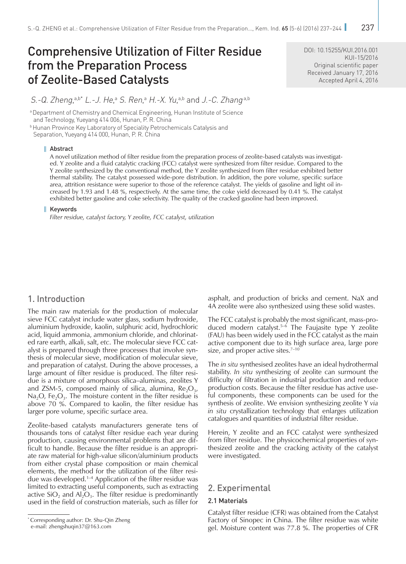# Comprehensive Utilization of Filter Residue from the Preparation Process of Zeolite-Based Catalysts

DOI: [10.15255/KUI.2016.001](http://dx.doi.org/10.15255/KUI.2016.001) KUI-15/2016 Original scientific paper Received January 17, 2016 Accepted April 4, 2016

S.-Q. Zheng,<sup>a,b\*</sup> L.-J. He,ª S. Ren,ª H.-X. Yu,ª<sup>,b</sup> and J.-C. Zhang<sup>a,b</sup>

a Department of Chemistry and Chemical Engineering, Hunan Institute of Science and Technology, Yueyang 414 006, Hunan, P. R. China **b Hunan Province Key Laboratory of Speciality Petrochemicals Catalysis and** 

Separation, Yueyang 414 000, Hunan, P. R. China

#### Abstract

A novel utilization method of filter residue from the preparation process of zeolite-based catalysts was investigated. Y zeolite and a fluid catalytic cracking (FCC) catalyst were synthesized from filter residue. Compared to the Y zeolite synthesized by the conventional method, the Y zeolite synthesized from filter residue exhibited better thermal stability. The catalyst possessed wide-pore distribution. In addition, the pore volume, specific surface area, attrition resistance were superior to those of the reference catalyst. The yields of gasoline and light oil increased by 1.93 and 1.48 %, respectively. At the same time, the coke yield decreased by 0.41 %. The catalyst exhibited better gasoline and coke selectivity. The quality of the cracked gasoline had been improved.

#### Keywords

*Filter residue, catalyst factory, Y zeolite, FCC catalyst, utilization*

## 1. Introduction

The main raw materials for the production of molecular sieve FCC catalyst include water glass, sodium hydroxide, aluminium hydroxide, kaolin, sulphuric acid, hydrochloric acid, liquid ammonia, ammonium chloride, and chlorinated rare earth, alkali, salt, *etc*. The molecular sieve FCC catalyst is prepared through three processes that involve synthesis of molecular sieve, modification of molecular sieve, and preparation of catalyst. During the above processes, a large amount of filter residue is produced. The filter residue is a mixture of amorphous silica–aluminas, zeolites Y and ZSM-5, composed mainly of silica, alumina,  $Re_2O_3$ , Na<sub>2</sub>O, Fe<sub>2</sub>O<sub>3</sub>. The moisture content in the filter residue is above 70 %. Compared to kaolin, the filter residue has larger pore volume, specific surface area.

Zeolite-based catalysts manufacturers generate tens of thousands tons of catalyst filter residue each year during production, causing environmental problems that are difficult to handle. Because the filter residue is an appropriate raw material for high-value silicon/aluminium products from either crystal phase composition or main chemical elements, the method for the utilization of the filter residue was developed.1–4 Application of the filter residue was limited to extracting useful components, such as extracting active  $SiO<sub>2</sub>$  and  $Al<sub>2</sub>O<sub>3</sub>$ . The filter residue is predominantly used in the field of construction materials, such as filler for asphalt, and production of bricks and cement. NaX and 4A zeolite were also synthesized using these solid wastes.

The FCC catalyst is probably the most significant, mass-produced modern catalyst.5–6 The Faujasite type Y zeolite (FAU) has been widely used in the FCC catalyst as the main active component due to its high surface area, large pore size, and proper active sites.<sup>7-10</sup>

The *in situ* synthesised zeolites have an ideal hydrothermal stability. *In situ* synthesizing of zeolite can surmount the difficulty of filtration in industrial production and reduce production costs. Because the filter residue has active useful components, these components can be used for the synthesis of zeolite. We envision synthesizing zeolite Y *via in situ* crystallization technology that enlarges utilization catalogues and quantities of industrial filter residue.

Herein, Y zeolite and an FCC catalyst were synthesized from filter residue. The physicochemical properties of synthesized zeolite and the cracking activity of the catalyst were investigated.

## 2. Experimental

## 2.1 Materials

Catalyst filter residue (CFR) was obtained from the Catalyst Factory of Sinopec in China. The filter residue was white gel. Moisture content was 77.8 %. The properties of CFR

<sup>\*</sup> Corresponding author: Dr. Shu-Qin Zheng

e-mail: [zhengshuqin37@163.com](mailto:zhengshuqin37%40163.com?subject=)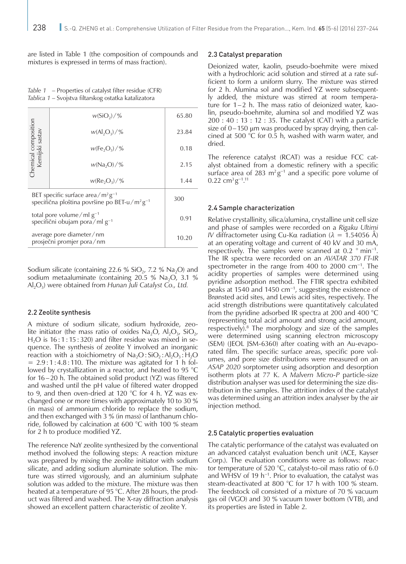are listed in Table 1 (the composition of compounds and mixtures is expressed in terms of mass fraction).

*Table 1* – Properties of catalyst filter residue (CFR) *Tablica 1* – Svojstva filtarskog ostatka katalizatora

| Chemical composition<br>Kemijski sastav                                                                        | $w(SiO_2)/\%$   | 65.80 |
|----------------------------------------------------------------------------------------------------------------|-----------------|-------|
|                                                                                                                | $w(A ,O_3)/\%$  | 23.84 |
|                                                                                                                | $w(Fe_2O_3)/\%$ | 0.18  |
|                                                                                                                | $w(Na_2O)/\%$   | 2.15  |
|                                                                                                                | $w(Re_2O_2)/\%$ | 1.44  |
| BET specific surface area/ $m^2g^{-1}$<br>specifična ploština površine po BET-u/m <sup>2</sup> g <sup>-1</sup> |                 | 300   |
| total pore volume/ml $g^{-1}$<br>specifični obujam pora/ml $g^{-1}$                                            |                 | 0.91  |
| average pore diameter/nm<br>prosječni promjer pora/nm                                                          |                 | 10.20 |

Sodium silicate (containing 22.6 % SiO<sub>2</sub>, 7.2 % Na<sub>2</sub>O) and sodium metaaluminate (containing 20.5 % Na<sub>2</sub>O, 3.1 % Al2O3) were obtained from *Hunan Juli Catalyst Co., Ltd.*

#### 2.2 Zeolite synthesis

A mixture of sodium silicate, sodium hydroxide, zeolite initiator (the mass ratio of oxides  $Na<sub>2</sub>O$ ,  $Al<sub>2</sub>O<sub>3</sub>$ ,  $SiO<sub>2</sub>$ ,  $H<sub>2</sub>O$  is 16:1:15:320) and filter residue was mixed in sequence. The synthesis of zeolite Y involved an inorganic reaction with a stoichiometry of  $Na<sub>2</sub>O: SiO<sub>2</sub>: Al<sub>2</sub>O<sub>3</sub>: H<sub>2</sub>O$  $= 2.9:1:4.8:110$ . The mixture was agitated for 1 h followed by crystallization in a reactor, and heated to 95 °C for 16–20 h. The obtained solid product (YZ) was filtered and washed until the pH value of filtered water dropped to 9, and then oven-dried at 120 °C for 4 h. YZ was exchanged one or more times with approximately 10 to 30 % (in mass) of ammonium chloride to replace the sodium, and then exchanged with 3 % (in mass) of lanthanum chloride, followed by calcination at 600 °C with 100 % steam for 2 h to produce modified YZ.

The reference NaY zeolite synthesized by the conventional method involved the following steps: A reaction mixture was prepared by mixing the zeolite initiator with sodium silicate, and adding sodium aluminate solution. The mixture was stirred vigorously, and an aluminium sulphate solution was added to the mixture. The mixture was then heated at a temperature of 95 °C. After 28 hours, the product was filtered and washed. The X-ray diffraction analysis showed an excellent pattern characteristic of zeolite Y.

#### 2.3 Catalyst preparation

Deionized water, kaolin, pseudo-boehmite were mixed with a hydrochloric acid solution and stirred at a rate sufficient to form a uniform slurry. The mixture was stirred for 2 h. Alumina sol and modified YZ were subsequently added, the mixture was stirred at room temperature for 1–2 h. The mass ratio of deionized water, kaolin, pseudo-boehmite, alumina sol and modified YZ was 200 : 40 : 13 : 12 : 35. The catalyst (CAT) with a particle size of 0–150 μm was produced by spray drying, then calcined at 500 °C for 0.5 h, washed with warm water, and dried.

The reference catalyst (RCAT) was a residue FCC catalyst obtained from a domestic refinery with a specific surface area of 283 m<sup>2</sup> g<sup>-1</sup> and a specific pore volume of  $0.22 \text{ cm}^3 \text{g}^{-1}$ .<sup>11</sup>

#### 2.4 Sample characterization

Relative crystallinity, silica/alumina, crystalline unit cell size and phase of samples were recorded on a *Rigaku Ultimi IV* diffractometer using Cu-Kα radiation ( $λ = 1.54056$  Å) at an operating voltage and current of 40 kV and 30 mA, respectively. The samples were scanned at 0.2 ° min−1. The IR spectra were recorded on an *AVATAR 370 FT-IR* spectrometer in the range from 400 to 2000 cm−1. The acidity properties of samples were determined using pyridine adsorption method. The FTIR spectra exhibited peaks at 1540 and 1450 cm<sup>-1</sup>, suggesting the existence of Brønsted acid sites, and Lewis acid sites, respectively. The acid strength distributions were quantitatively calculated from the pyridine adsorbed IR spectra at 200 and 400 °C (representing total acid amount and strong acid amount, respectively).8 The morphology and size of the samples were determined using scanning electron microscopy (SEM) (JEOL JSM-6360) after coating with an Au-evaporated film. The specific surface areas, specific pore volumes, and pore size distributions were measured on an *ASAP 2020* sorptometer using adsorption and desorption isotherm plots at 77 K. A *Malvern Micro-P* particle-size distribution analyser was used for determining the size distribution in the samples. The attrition index of the catalyst was determined using an attrition index analyser by the air injection method.

#### 2.5 Catalytic properties evaluation

The catalytic performance of the catalyst was evaluated on an advanced catalyst evaluation bench unit (ACE, Kayser Corp.). The evaluation conditions were as follows: reactor temperature of 520 °C, catalyst-to-oil mass ratio of 6.0 and WHSV of 19 h−1. Prior to evaluation, the catalyst was steam-deactivated at 800 °C for 17 h with 100 % steam. The feedstock oil consisted of a mixture of 70 % vacuum gas oil (VGO) and 30 % vacuum tower bottom (VTB), and its properties are listed in Table 2.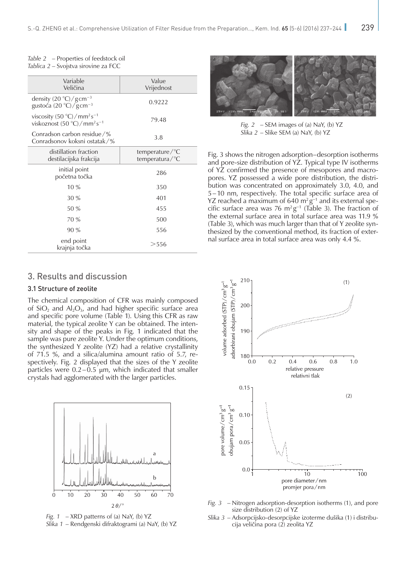| Variable<br>Veličina                                               | Value<br>Vrijednost              |
|--------------------------------------------------------------------|----------------------------------|
| density $(20 °C)/gcm^{-3}$<br>gustoća (20 °C)/gcm <sup>-3</sup>    | 0.9222                           |
| viscosity $(50 °C)/mm^2 s^{-1}$<br>viskoznost $(50 °C)/mm^2s^{-1}$ | 79.48                            |
| Conradson carbon residue $/$ %<br>Conradsonov koksni ostatak/%     | 3.8                              |
| distillation fraction<br>destilacijska frakcija                    | temperature/°C<br>temperatura/°C |
| initial point<br>početna točka                                     | 286                              |
| $10\%$                                                             | 350                              |
| 30%                                                                | 401                              |
| 50 %                                                               | 455                              |
| 70 %                                                               | 500                              |
| 90%                                                                | 556                              |
| end point<br>krajnja točka                                         | $>$ 556                          |

#### *Table 2* – Properties of feedstock oil *Tablica 2* – Svojstva sirovine za FCC

## 3. Results and discussion

#### 3.1 Structure of zeolite

The chemical composition of CFR was mainly composed of  $SiO<sub>2</sub>$  and  $Al<sub>2</sub>O<sub>3</sub>$ , and had higher specific surface area and specific pore volume (Table 1). Using this CFR as raw material, the typical zeolite Y can be obtained. The intensity and shape of the peaks in Fig. 1 indicated that the sample was pure zeolite Y. Under the optimum conditions, the synthesized Y zeolite (YZ) had a relative crystallinity of 71.5 %, and a silica/alumina amount ratio of 5.7, respectively. Fig. 2 displayed that the sizes of the Y zeolite particles were  $0.2-0.5$   $\mu$ m, which indicated that smaller crystals had agglomerated with the larger particles.







*Fig. 2* – SEM images of (a) NaY, (b) YZ *Slika 2* – Slike SEM (a) NaY, (b) YZ

Fig. 3 shows the nitrogen adsorption–desorption isotherms and pore-size distribution of YZ. Typical type IV isotherms of YZ confirmed the presence of mesopores and macropores. YZ possessed a wide pore distribution, the distribution was concentrated on approximately 3.0, 4.0, and 5–10 nm, respectively. The total specific surface area of YZ reached a maximum of 640 m<sup>2</sup> g<sup>-1</sup> and its external specific surface area was 76 m<sup>2</sup> g<sup>-1</sup> (Table 3). The fraction of the external surface area in total surface area was 11.9 % (Table 3), which was much larger than that of Y zeolite synthesized by the conventional method, its fraction of external surface area in total surface area was only 4.4 %.



- *Fig. 3* Nitrogen adsorption-desorption isotherms (1), and pore size distribution (2) of YZ
- *Slika 3* Adsorpcijsko-desorpcijske izoterme dušika (1) i distribucija veličina pora (2) zeolita YZ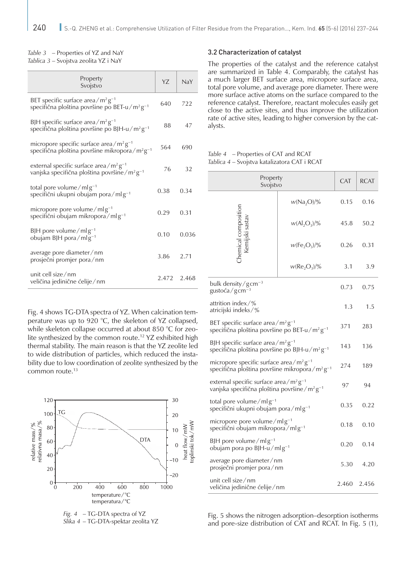#### *Table 3* – Properties of YZ and NaY *Tablica 3* – Svojstva zeolita YZ i NaY

| Property<br>Svojstvo                                                                                                  | Y7          | NaY   |
|-----------------------------------------------------------------------------------------------------------------------|-------------|-------|
| BET specific surface area/ $m^2g^{-1}$<br>specifična ploština površine po BET-u/m <sup>2</sup> $g^{-1}$               | 640         | 722   |
| BJH specific surface area/ $m^2g^{-1}$<br>specifična ploština površine po BJH-u/m²g <sup>-1</sup>                     | 88          | 47    |
| micropore specific surface area/ $m^2g^{-1}$<br>specifična ploština površine mikropora/m <sup>2</sup> g <sup>-1</sup> | 564         | 690   |
| external specific surface area/ $m^2g^{-1}$<br>vanjska specifična ploština površine/m <sup>2</sup> g <sup>-1</sup>    | 76          | 32    |
| total pore volume/mlg <sup>-1</sup><br>specifični ukupni obujam pora/mlg <sup>-1</sup>                                | 0.38        | 0.34  |
| micropore pore volume/mlg <sup>-1</sup><br>specifični obujam mikropora/mlg <sup>-1</sup>                              | 0.29        | 0.31  |
| BJH pore volume/mlg <sup>-1</sup><br>obujam BJH pora/mlg <sup>-1</sup>                                                | 0.10        | 0.036 |
| average pore diameter/nm<br>prosječni promjer pora/nm                                                                 | 3.86        | 2.71  |
| unit cell size/nm<br>veličina jedinične ćelije/nm                                                                     | 2.472 2.468 |       |

Fig. 4 shows TG-DTA spectra of YZ. When calcination temperature was up to 920 °C, the skeleton of YZ collapsed, while skeleton collapse occurred at about 850 °C for zeolite synthesized by the common route.12 YZ exhibited high thermal stability. The main reason is that the YZ zeolite led to wide distribution of particles, which reduced the instability due to low coordination of zeolite synthesized by the common route.<sup>13</sup>



*Fig. 4* – TG-DTA spectra of YZ *Slika 4* – TG-DTA-spektar zeolita YZ

#### 3.2 Characterization of catalyst

The properties of the catalyst and the reference catalyst are summarized in Table 4. Comparably, the catalyst has a much larger BET surface area, micropore surface area, total pore volume, and average pore diameter. There were more surface active atoms on the surface compared to the reference catalyst. Therefore, reactant molecules easily get close to the active sites, and thus improve the utilization rate of active sites, leading to higher conversion by the catalysts.

*Table 4* – Properties of CAT and RCAT *Tablica 4* – Svojstva katalizatora CAT i RCAT

| Property<br>Svojstvo                                                                                                                    |                                      | <b>CAT</b> | <b>RCAT</b>    |
|-----------------------------------------------------------------------------------------------------------------------------------------|--------------------------------------|------------|----------------|
|                                                                                                                                         | $w(Na_2O)/\%$                        | 0.15       | 0.16           |
|                                                                                                                                         | $w(Al_2O_3)/\%$                      | 45.8       | 50.2           |
| :hemical composition<br>Kemijski sastav                                                                                                 | $w(Fe2O3)/\%$                        | 0.26       | 0.31           |
|                                                                                                                                         | w(Re <sub>2</sub> O <sub>3</sub> )/% | 3.1        | 3.9            |
| bulk density/gcm <sup>-3</sup><br>gustoća/gcm <sup>-3</sup>                                                                             |                                      | 0.73       | 0.75           |
| attrition index/%<br>atricijski indeks/%                                                                                                |                                      |            | 1.5            |
| BET specific surface area/ $m^2g^{-1}$<br>specifična ploština površine po BET-u/m <sup>2</sup> g <sup>-1</sup>                          |                                      |            | 283            |
| BJH specific surface area/ $m^2g^{-1}$<br>specifična ploština površine po BJH-u/m <sup>2</sup> g <sup>-1</sup>                          |                                      | 143        | 136            |
| micropore specific surface area/m <sup>2</sup> g <sup>-1</sup><br>specifična ploština površine mikropora/m <sup>2</sup> g <sup>-1</sup> |                                      | 274        | 189            |
| external specific surface area/m <sup>2</sup> g <sup>-1</sup><br>vanjska specifična ploština površine/m <sup>2</sup> g <sup>-1</sup>    |                                      |            | 94             |
| total pore volume/mlg <sup>-1</sup><br>specifični ukupni obujam pora/mlg-1                                                              |                                      |            | 0.22           |
| micropore pore volume/mlg <sup>-1</sup><br>specifični obujam mikropora/mlg-1                                                            |                                      |            | 0.10           |
| BJH pore volume/mlg <sup>-1</sup><br>obujam pora po BJH-u/mlg-1                                                                         |                                      | 0.20       | 0.14           |
| average pore diameter/nm<br>prosječni promjer pora/nm                                                                                   |                                      |            | 4.20           |
| unit cell size/nm<br>veličina jedinične ćelije/nm                                                                                       |                                      |            | 2.460<br>2.456 |

Fig. 5 shows the nitrogen adsorption–desorption isotherms and pore-size distribution of CAT and RCAT. In Fig. 5 (1),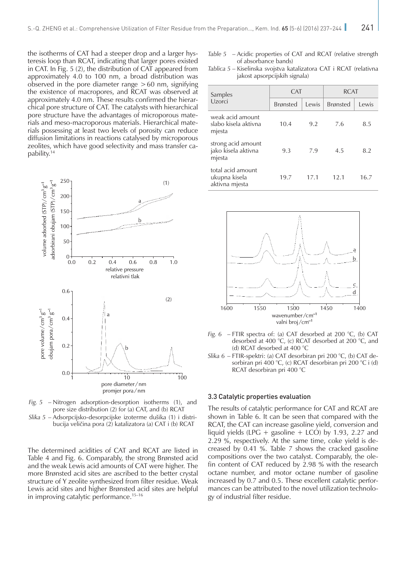the isotherms of CAT had a steeper drop and a larger hysteresis loop than RCAT, indicating that larger pores existed in CAT. In Fig. 5 (2), the distribution of CAT appeared from approximately 4.0 to 100 nm, a broad distribution was observed in the pore diameter range  $>60$  nm, signifying the existence of macropores, and RCAT was observed at approximately 4.0 nm. These results confirmed the hierarchical pore structure of CAT. The catalysts with hierarchical pore structure have the advantages of microporous materials and meso-macroporous materials. Hierarchical materials possessing at least two levels of porosity can reduce diffusion limitations in reactions catalysed by microporous zeolites, which have good selectivity and mass transfer capability.14



*Fig. 5* – Nitrogen adsorption-desorption isotherms (1), and pore size distribution (2) for (a) CAT, and (b) RCAT *Slika 5* – Adsorpcijsko-desorpcijske izoterme dušika (1) i distribucija veličina pora (2) katalizatora (a) CAT i (b) RCAT

The determined acidities of CAT and RCAT are listed in Table 4 and Fig. 6. Comparably, the strong Brønsted acid and the weak Lewis acid amounts of CAT were higher. The more Brønsted acid sites are ascribed to the better crystal structure of Y zeolite synthesized from filter residue. Weak Lewis acid sites and higher Brønsted acid sites are helpful in improving catalytic performance.15–16

- *Table 5* Acidic properties of CAT and RCAT (relative strength of absorbance bands)
- *Tablica 5* Kiselinska svojstva katalizatora CAT i RCAT (relativna jakost apsorpcijskih signala)

| Samples                                              | <b>CAT</b>      |       | <b>RCAT</b>     |       |
|------------------------------------------------------|-----------------|-------|-----------------|-------|
| Uzorci                                               | <b>Brønsted</b> | Lewis | <b>Brønsted</b> | Lewis |
| weak acid amount<br>slabo kisela aktivna<br>mjesta   | 10.4            | 9.2   | 7.6             | 8.5   |
| strong acid amount<br>jako kisela aktivna<br>mjesta  | 9.3             | 7.9   | 4.5             | 8.2   |
| total acid amount<br>ukupna kisela<br>aktivna mjesta | 19.7            | 17.1  | 12.1            | 16.7  |



- *Fig. 6* FTIR spectra of: (a) CAT desorbed at 200 °C, (b) CAT desorbed at 400 °C, (c) RCAT desorbed at 200 °C, and (d) RCAT desorbed at 400 °C
- *Slika 6* FTIR-spektri: (a) CAT desorbiran pri 200 °C, (b) CAT desorbiran pri 400 °C, (c) RCAT desorbiran pri 200 °C i (d) RCAT desorbiran pri 400 °C

#### 3.3 Catalytic properties evaluation

The results of catalytic performance for CAT and RCAT are shown in Table 6. It can be seen that compared with the RCAT, the CAT can increase gasoline yield, conversion and liquid yields (LPG + gasoline + LCO) by 1.93, 2.27 and 2.29 %, respectively. At the same time, coke yield is decreased by 0.41 %. Table 7 shows the cracked gasoline compositions over the two catalyst. Comparably, the olefin content of CAT reduced by 2.98 % with the research octane number, and motor octane number of gasoline increased by 0.7 and 0.5. These excellent catalytic performances can be attributed to the novel utilization technology of industrial filter residue.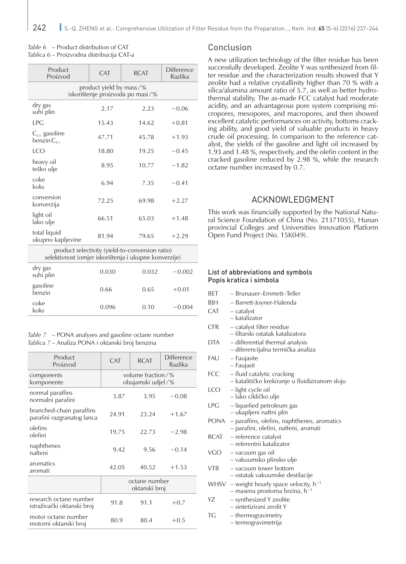| Table 6 – Product distribution of CAT     |  |  |  |
|-------------------------------------------|--|--|--|
| Tablica 6 – Proizvodna distribucija CAT-a |  |  |  |

| Product<br>Proizvod                                             | <b>CAT</b> | <b>RCAT</b> | <b>Difference</b><br>Razlika |  |  |
|-----------------------------------------------------------------|------------|-------------|------------------------------|--|--|
| product yield by mass/ $\%$<br>iskorištenje proizvoda po masi/% |            |             |                              |  |  |
| dry gas<br>suhi plin                                            | 2.17       | 2.23        | $-0.06$                      |  |  |
| LPG                                                             | 15.43      | 14.62       | $+0.81$                      |  |  |
| $C_{5+}$ gasoline<br>benzin $C_{5+}$                            | 47.71      | 45.78       | $+1.93$                      |  |  |
| LCO                                                             | 18.80      | 19.25       | $-0.45$                      |  |  |
| heavy oil<br>teško ulje                                         | 8.95       | 10.77       | $-1.82$                      |  |  |
| coke<br>koks                                                    | 6.94       | 7.35        | $-0.41$                      |  |  |
| conversion<br>konverzija                                        | 72.25      | 69.98       | $+2.27$                      |  |  |
| light oil<br>lako ulje                                          | 66.51      | 65.03       | $+1.48$                      |  |  |
| total liquid<br>ukupno kapljevine                               | 81.94      | 79.65       | $+2.29$                      |  |  |

product selectivity (yield-to-conversion ratio) selektivnost (omjer iskorištenja i ukupne konverzije)

| dry gas<br>suhi plin | 0.030 | 0.032 | $-0.002$ |
|----------------------|-------|-------|----------|
| gasoline<br>benzin   | 0.66  | 0.65  | $+0.01$  |
| coke<br>koks         | 0.096 | 0.10  | $-0.004$ |
|                      |       |       |          |

*Table 7* – PONA analyses and gasoline octane number *Tablica 7* – Analiza PONA i oktanski broj benzina

| Product<br>Proizvod                                    | <b>CAT</b>                                         | <b>RCAT</b> | Difference<br>Razlika |  |
|--------------------------------------------------------|----------------------------------------------------|-------------|-----------------------|--|
| components<br>komponente                               | volume fraction $\frac{9}{6}$<br>obujamski udjel/% |             |                       |  |
| normal paraffins<br>normalni parafini                  | 3.87                                               | 3.95        | $-0.08$               |  |
| branched-chain paraffins<br>parafini razgranatog lanca | 24.91                                              | 23.24       | $+1.67$               |  |
| olefins<br>olefini                                     | 19.75                                              | 22.73       | $-2.98$               |  |
| naphthenes<br>nafteni                                  | 9.42                                               | 9.56        | $-0.14$               |  |
| aromatics<br>aromati                                   | 42.05                                              | 40.52       | $+1.53$               |  |
|                                                        | octane number<br>oktanski broj                     |             |                       |  |
| research octane number<br>istraživački oktanski broj   | 91.8                                               | 91.1        | $+0.7$                |  |
| motor octane number<br>motorni oktanski broj           | 80.9                                               | 80.4        | $+0.5$                |  |

## Conclusion

A new utilization technology of the filter residue has been successfully developed. Zeolite Y was synthesized from filter residue and the characterization results showed that Y zeolite had a relative crystallinity higher than 70 % with a silica/alumina amount ratio of 5.7, as well as better hydrothermal stability. The as-made FCC catalyst had moderate acidity, and an advantageous pore system comprising micropores, mesopores, and macropores, and then showed excellent catalytic performances on activity, bottoms cracking ability, and good yield of valuable products in heavy crude oil processing. In comparison to the reference catalyst, the yields of the gasoline and light oil increased by 1.93 and 1.48 %, respectively, and the olefin content in the cracked gasoline reduced by 2.98 %, while the research octane number increased by 0.7.

## ACKNOWLEDGMENT

This work was financially supported by the National Natural Science Foundation of China (No. 21371055), Hunan provincial Colleges and Universities Innovation Platform Open Fund Project (No. 15K049).

#### List of abbreviations and symbols Popis kratica i simbola

- BET Brunauer–Emmett–Teller
- BJH Barrett-Joyner-Halenda
- $CAT catalyst$
- katalizator
- CFR catalyst filter residue
	- filtarski ostatak katalizatora
- DTA differential thermal analysis – diferencijalna termička analiza
- FAU Faujasite
	- Faujasit
- FCC fluid catalytic cracking – katalitičko krekiranje u fluidiziranom sloju
- LCO light cycle oil – lako cikličko ulje
- LPG liquefied petroleum gas – ukapljeni naftni plin
- PONA paraffins, olefins, naphthenes, aromatics
	- parafini, olefini, nafteni, aromati
- RCAT reference catalyst – referentni katalizator
- VGO vacuum gas oil
	- vakuumsko plinsko ulje
- VTB vacuum tower bottom
	- ostatak vakuumske destilacije
- WHSV weight hourly space velocity,  $h^{-1}$
- masena prostorna brzina, h−1 YZ – synthesized Y zeolite
- sintetizirani zeolit Y TG – thermogravimetry
	- termogravimetrija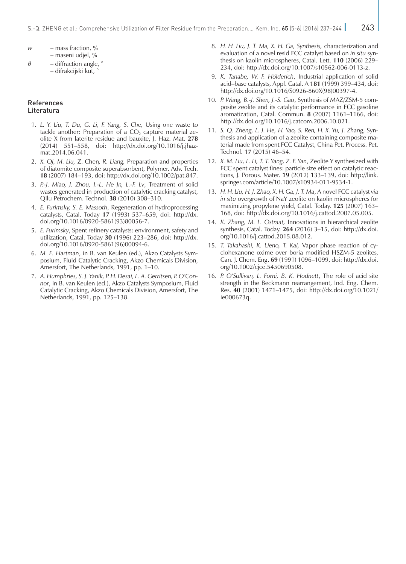- *w* mass fraction, % – maseni udjel, %
- $\theta$  diffraction angle,  $\degree$ – difrakcijski kut, °

#### References Literatura

- 1. *L. Y. Liu, T. Du, G. Li, F. Yang, S. Che,* Using one waste to tackle another: Preparation of a  $CO<sub>2</sub>$  capture material zeolite X from laterite residue and bauxite, J. Haz. Mat. **278** (2014) 551–558, [doi: http://dx.doi.org/10.1016/j.jhaz](http://dx.doi.org/10.1016/j.jhazmat.2014.06.041)[mat.2014.06.041.](http://dx.doi.org/10.1016/j.jhazmat.2014.06.041)
- 2. *X. Qi, [M. Liu,](http://xueshu.baidu.com/s?wd=author%3A%28Mingzhu%20Liu%29%20Department%20of%20Chemistry%20and%20State%20Key%20Laboratory%20of%20Applied%20Organic%20Chemistry%2C%20Lanzhou%20University%2C%20Lanzhou%20730000%2C%20People%27s%20Republic%20of%20China&tn=SE_baiduxueshu_c1gjeupa&ie=utf-8&sc_f_para=sc_hilight%3Dperson)* Z. Chen*, [R. Liang,](http://xueshu.baidu.com/s?wd=author%3A%28Rui%20Liang%29%20Department%20of%20Chemistry%20and%20State%20Key%20Laboratory%20of%20Applied%20Organic%20Chemistry%2C%20Lanzhou%20University%2C%20Lanzhou%20730000%2C%20People%27s%20Republic%20of%20China&tn=SE_baiduxueshu_c1gjeupa&ie=utf-8&sc_f_para=sc_hilight%3Dperson)* [Preparation and properties](http://xueshu.baidu.com/s?wd=paperuri%3A%285a91983782a46f6fe516bcba83885dbe%29&filter=sc_long_sign&tn=SE_xueshusource_2kduw22v&sc_vurl=http%3A%2F%2Fonlinelibrary.wiley.com%2Fdoi%2F10.1002%2Fpat.847%2Fabstract&ie=utf-8) [of diatomite composite superabsorbent](http://xueshu.baidu.com/s?wd=paperuri%3A%285a91983782a46f6fe516bcba83885dbe%29&filter=sc_long_sign&tn=SE_xueshusource_2kduw22v&sc_vurl=http%3A%2F%2Fonlinelibrary.wiley.com%2Fdoi%2F10.1002%2Fpat.847%2Fabstract&ie=utf-8), Polymer. Adv. Tech. **18** (2007) 184–193, doi:<http://dx.doi.org/10.1002/pat.847>.
- 3. *P.-J. Miao, J. Zhou, J.-L. He Jn, L.-F. Lv*, Treatment of solid wastes generated in production of catalytic cracking catalyst, Qilu Petrochem. Technol. **38** (2010) 308–310.
- 4. *E. Furimsky, S. E. Massoth*, Regeneration of hydroprocessing catalysts, Catal. Today **17** (1993) 537–659, doi: [http://dx.](http://dx.doi.org/10.1016/0920-5861(93)80056-7) [doi.org/10.1016/0920-5861\(93\)80056-7](http://dx.doi.org/10.1016/0920-5861(93)80056-7).
- 5. *E. Furimsky*, Spent refinery catalysts: environment, safety and utilization, Catal. Today **30** (1996) 223–286, doi: [http://dx.](http://dx.doi.org/10.1016/0920-5861%2896%2900094-6) [doi.org/10.1016/0920-5861\(96\)00094-6](http://dx.doi.org/10.1016/0920-5861%2896%2900094-6).
- 6. *M. E. Hartman*, in B. van Keulen (ed.), Akzo Catalysts Symposium, Fluid Catalytic Cracking, Akzo Chemicals Division, Amersfort, The Netherlands, 1991, pp. 1–10.
- 7. *A. Humphries, S. J. Yanik, P. H. Desai, L. A. Gerritsen, P. O'Connor*, in B. van Keulen (ed.), Akzo Catalysts Symposium, Fluid Catalytic Cracking, Akzo Chemicals Division, Amersfort, The Netherlands, 1991, pp. 125–138.
- 8. *H. H. Liu, J. T. Ma, X. H. Ga, Synthesis,* characterization and evaluation of a novel resid FCC catalyst based on *in situ* synthesis on kaolin microspheres, Catal. Lett. **110** (2006) 229– 234, doi: <http://dx.doi.org/10.1007/s10562-006-0113-z>.
- 9. *K. Tanabe, W. F. Hölderich*, Industrial application of solid acid–base catalysts, Appl. Catal. A **181** (1999) 399–434, doi: [http://dx.doi.org/10.1016/S0926-860X\(98\)00397-4.](http://dx.doi.org/10.1016/S0926-860X%2898%2900397-4)
- 10. *P. Wang, B.-J. Shen, J.-S. Gao*, Synthesis of MAZ/ZSM-5 composite zeolite and its catalytic performance in FCC gasoline aromatization, Catal. Commun. **8** (2007) 1161–1166, doi: <http://dx.doi.org/10.1016/j.catcom.2006.10.021>.
- 11. *S. Q. Zheng, L. J. He, H. Yao, S. Ren, H. X. Yu, J. Zhang*, Synthesis and application of a zeolite containing composite material made from spent FCC Catalyst, China Pet. Process. Pet. Technol. **17** (2015) 46–54.
- 12. *X. M. Liu, L. Li, T. T. Yang, Z. F. Yan*, Zeolite Y synthesized with FCC spent catalyst fines: particle size effect on catalytic reactions, J. Porous. Mater. **19** (2012) 133–139, doi: http://link. springer.com/article/10.1007/s10934-011-9534-1.
- 13. *H. H. Liu, H. J. Zhao, X. H. Ga, J. T. Ma*, A novel FCC catalyst *via in situ* overgrowth of NaY zeolite on kaolin microspheres for maximizing propylene yield, Catal. Today. **125** (2007) 163– 168, doi: [http://dx.doi.org/10.1016/j.cattod.2007.05.005.](http://dx.doi.org/10.1016/j.cattod.2007.05.005)
- 14. *[K. Zhang](http://www.sciencedirect.com/science/article/pii/S0920586115004927), [M. L. Ostraat,](http://www.sciencedirect.com/science/article/pii/S0920586115004927)* Innovations in hierarchical zeolite synthesis, Catal. Today. **264** (2016) 3–15, doi: [http://dx.doi.](http://dx.doi.org/10.1016/j.cattod.2015.08.012) [org/10.1016/j.cattod.2015.08.012.](http://dx.doi.org/10.1016/j.cattod.2015.08.012)
- 15. *T. Takahashi, K. Ueno, T. Kai,* Vapor phase reaction of cyclohexanone oxime over boria modified HSZM-5 zeolites, Can. J. Chem. Eng. **69** (1991) 1096–1099, doi: [http://dx.doi.](http://dx.doi.org/10.1002/cjce.5450690508) [org/10.1002/cjce.5450690508.](http://dx.doi.org/10.1002/cjce.5450690508)
- 16. *P. O'Sullivan, L. Forni, B. K. Hodnett*, The role of acid site strength in the Beckmann rearrangement, Ind. Eng. Chem. Res. **40** (2001) 1471–1475, doi: [http://dx.doi.org/10.1021/](http://dx.doi.org/10.1021/ie000673q) [ie000673q.](http://dx.doi.org/10.1021/ie000673q)